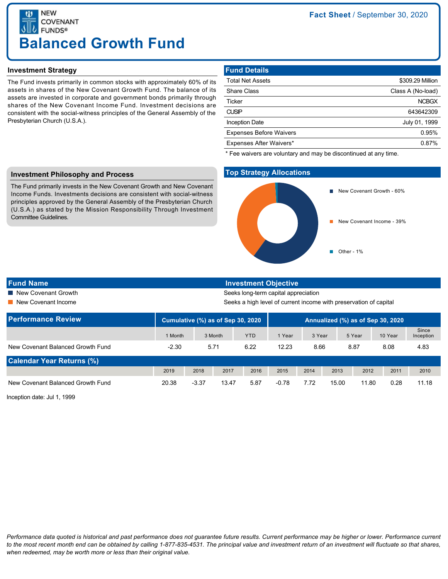**NEW COVENANT FUNDS® Balanced Growth Fund**

## **Investment Strategy**

The Fund invests primarily in common stocks with approximately 60% of its assets in shares of the New Covenant Growth Fund. The balance of its assets are invested in corporate and government bonds primarily through shares of the New Covenant Income Fund. Investment decisions are consistent with the social-witness principles of the General Assembly of the Presbyterian Church (U.S.A.).

# **Fund Details**

| <b>Total Net Assets</b>        | \$309.29 Million  |
|--------------------------------|-------------------|
| <b>Share Class</b>             | Class A (No-load) |
| Ticker                         | <b>NCBGX</b>      |
| <b>CUSIP</b>                   | 643642309         |
| <b>Inception Date</b>          | July 01, 1999     |
| <b>Expenses Before Waivers</b> | 0.95%             |
| Expenses After Waivers*        | 0.87%             |
|                                |                   |

\* Fee waivers are voluntary and may be discontinued at any time.

## **Investment Philosophy and Process**

The Fund primarily invests in the New Covenant Growth and New Covenant Income Funds. Investments decisions are consistent with social-witness principles approved by the General Assembly of the Presbyterian Church (U.S.A.) as stated by the Mission Responsibility Through Investment Committee Guidelines.

# **Top Strategy Allocations**



**Fund Name Investment Objective**

■ New Covenant Growth Seeks long-term capital appreciation

■ New Covenant Income Seeks a high level of current income with preservation of capital

| <b>Performance Review</b>         | Cumulative (%) as of Sep 30, 2020 |         |         | Annualized (%) as of Sep 30, 2020 |         |        |       |        |         |                    |
|-----------------------------------|-----------------------------------|---------|---------|-----------------------------------|---------|--------|-------|--------|---------|--------------------|
|                                   | 1 Month                           |         | 3 Month | <b>YTD</b>                        | 1 Year  | 3 Year |       | 5 Year | 10 Year | Since<br>Inception |
| New Covenant Balanced Growth Fund | $-2.30$                           | 5.71    |         | 6.22                              | 12.23   | 8.66   |       | 8.87   | 8.08    | 4.83               |
| <b>Calendar Year Returns (%)</b>  |                                   |         |         |                                   |         |        |       |        |         |                    |
|                                   | 2019                              | 2018    | 2017    | 2016                              | 2015    | 2014   | 2013  | 2012   | 2011    | 2010               |
| New Covenant Balanced Growth Fund | 20.38                             | $-3.37$ | 13.47   | 5.87                              | $-0.78$ | 7.72   | 15.00 | 11.80  | 0.28    | 11.18              |

Inception date: Jul 1, 1999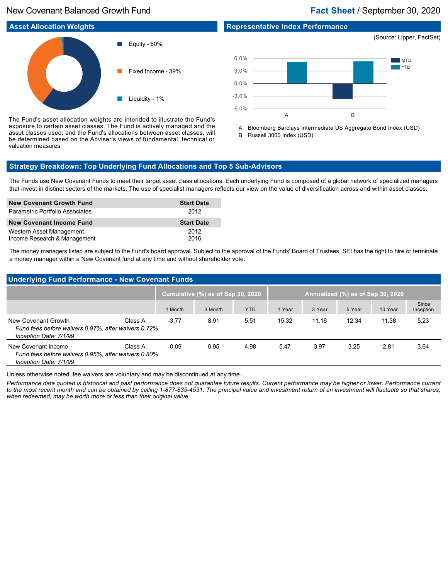# New Covenant Balanced Growth Fund **Fact Sheet** / September 30, 2020



-6.0%

The Fund's asset allocation weights are intended to illustrate the Fund's exposure to certain asset classes. The Fund is actively managed and the asset classes used, and the Fund's allocations between asset classes, will be determined based on the Adviser's views of fundamental, technical or valuation measures.

A Bloomberg Barclays Intermediate US Aggregate Bond Index (USD) B Russell 3000 Index (USD)

A B

# **Strategy Breakdown: Top Underlying Fund Allocations and Top 5 Sub-Advisors**

The Funds use New Covenant Funds to meet their target asset class allocations. Each underlying Fund is composed of a global network of specialized managers that invest in distinct sectors of the markets. The use of specialist managers reflects our view on the value of diversification across and within asset classes.

| <b>New Covenant Growth Fund</b>                          | <b>Start Date</b> |
|----------------------------------------------------------|-------------------|
| Parametric Portfolio Associates                          | 2012              |
| New Covenant Income Fund                                 | <b>Start Date</b> |
| Western Asset Management<br>Income Research & Management | 2012<br>2016      |

The money managers listed are subject to the Fund's board approval. Subject to the approval of the Funds' Board of Trustees, SEI has the right to hire or terminate a money manager within a New Covenant fund at any time and without shareholder vote.

| <b>Underlying Fund Performance - New Covenant Funds</b>                                              |         |                                   |         |            |                                   |        |        |         |                    |
|------------------------------------------------------------------------------------------------------|---------|-----------------------------------|---------|------------|-----------------------------------|--------|--------|---------|--------------------|
|                                                                                                      |         | Cumulative (%) as of Sep 30, 2020 |         |            | Annualized (%) as of Sep 30, 2020 |        |        |         |                    |
|                                                                                                      |         | 1 Month                           | 3 Month | <b>YTD</b> | 1 Year                            | 3 Year | 5 Year | 10 Year | Since<br>Inception |
| New Covenant Growth<br>Fund fees before waivers 0.97%, after waivers 0.72%<br>Inception Date: 7/1/99 | Class A | $-3.77$                           | 8.91    | 5.51       | 15.32                             | 11.16  | 12.34  | 11.38   | 5.23               |
| New Covenant Income<br>Fund fees before waivers 0.95%, after waivers 0.80%<br>Inception Date: 7/1/99 | Class A | $-0.09$                           | 0.95    | 4.98       | 5.47                              | 3.97   | 3.25   | 2.81    | 3.64               |

Unless otherwise noted, fee waivers are voluntary and may be discontinued at any time.

*Performance data quoted is historical and past performance does not guarantee future results. Current performance may be higher or lower. Performance current to the most recent month end can be obtained by calling 1-877-835-4531. The principal value and investment return of an investment will fluctuate so that shares, when redeemed, may be worth more or less than their original value.*